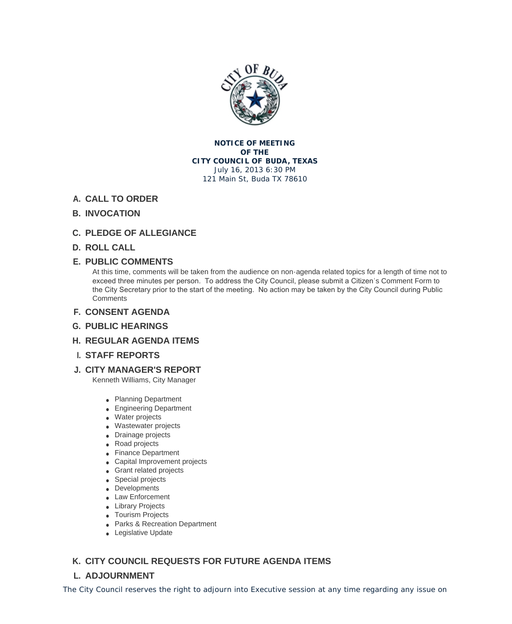

**NOTICE OF MEETING OF THE CITY COUNCIL OF BUDA, TEXAS** July 16, 2013 6:30 PM 121 Main St, Buda TX 78610

## **CALL TO ORDER A.**

### **INVOCATION B.**

- **PLEDGE OF ALLEGIANCE C.**
- **ROLL CALL D.**

### **PUBLIC COMMENTS E.**

At this time, comments will be taken from the audience on non-agenda related topics for a length of time not to exceed three minutes per person. To address the City Council, please submit a Citizen's Comment Form to the City Secretary prior to the start of the meeting. No action may be taken by the City Council during Public **Comments** 

- **CONSENT AGENDA F.**
- **PUBLIC HEARINGS G.**
- **REGULAR AGENDA ITEMS H.**
- **STAFF REPORTS I.**
- **CITY MANAGER'S REPORT J.**

Kenneth Williams, City Manager

- Planning Department
- **Engineering Department**
- Water projects
- Wastewater projects
- Drainage projects
- Road projects
- **Finance Department**
- Capital Improvement projects
- **Grant related projects**
- Special projects
- Developments
- Law Enforcement
- **.** Library Projects
- **Tourism Projects**
- **Parks & Recreation Department**
- **Legislative Update**

## **CITY COUNCIL REQUESTS FOR FUTURE AGENDA ITEMS K.**

# **ADJOURNMENT L.**

The City Council reserves the right to adjourn into Executive session at any time regarding any issue on